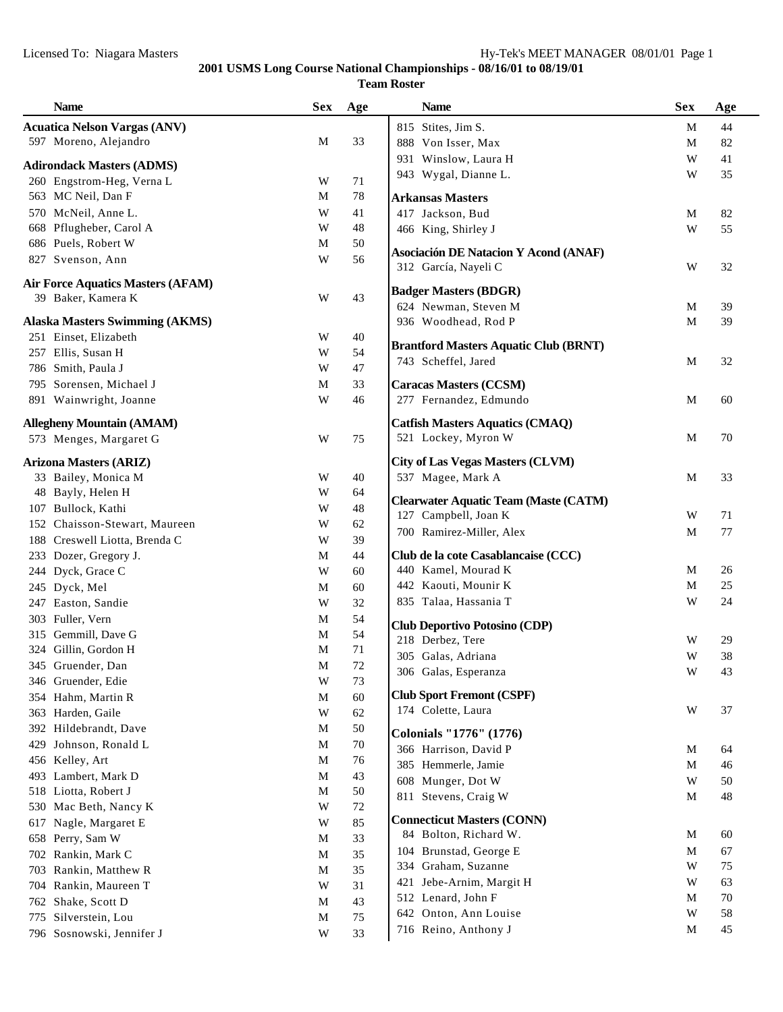| <b>Name</b>                                         | <b>Sex</b>  | Age      | <b>Name</b>                                  | <b>Sex</b>  | Age |
|-----------------------------------------------------|-------------|----------|----------------------------------------------|-------------|-----|
| <b>Acuatica Nelson Vargas (ANV)</b>                 |             |          | 815 Stites, Jim S.                           | M           | 44  |
| 597 Moreno, Alejandro                               | M           | 33       | 888 Von Isser, Max                           | M           | 82  |
|                                                     |             |          | 931 Winslow, Laura H                         | W           | 41  |
| <b>Adirondack Masters (ADMS)</b>                    |             |          | 943 Wygal, Dianne L.                         | W           | 35  |
| 260 Engstrom-Heg, Verna L                           | W           | 71       |                                              |             |     |
| 563 MC Neil, Dan F                                  | M           | $78\,$   | <b>Arkansas Masters</b>                      |             |     |
| 570 McNeil, Anne L.                                 | W           | 41       | 417 Jackson, Bud                             | M           | 82  |
| 668 Pflugheber, Carol A                             | W           | 48       | 466 King, Shirley J                          | W           | 55  |
| 686 Puels, Robert W                                 | M           | 50       | <b>Asociación DE Natacion Y Acond (ANAF)</b> |             |     |
| 827 Svenson, Ann                                    | W           | 56       | 312 García, Nayeli C                         | W           | 32  |
| <b>Air Force Aquatics Masters (AFAM)</b>            |             |          |                                              |             |     |
| 39 Baker, Kamera K                                  | W           | 43       | <b>Badger Masters (BDGR)</b>                 |             |     |
|                                                     |             |          | 624 Newman, Steven M                         | M           | 39  |
| <b>Alaska Masters Swimming (AKMS)</b>               |             |          | 936 Woodhead, Rod P                          | M           | 39  |
| 251 Einset, Elizabeth                               | W           | 40       | <b>Brantford Masters Aquatic Club (BRNT)</b> |             |     |
| 257 Ellis, Susan H                                  | W           | 54       | 743 Scheffel, Jared                          | M           | 32  |
| 786 Smith, Paula J                                  | W           | 47       |                                              |             |     |
| 795 Sorensen, Michael J                             | M           | 33       | <b>Caracas Masters (CCSM)</b>                |             |     |
| 891 Wainwright, Joanne                              | W           | 46       | 277 Fernandez, Edmundo                       | M           | 60  |
| <b>Allegheny Mountain (AMAM)</b>                    |             |          | <b>Catfish Masters Aquatics (CMAQ)</b>       |             |     |
| 573 Menges, Margaret G                              | W           | 75       | 521 Lockey, Myron W                          | M           | 70  |
|                                                     |             |          | <b>City of Las Vegas Masters (CLVM)</b>      |             |     |
| <b>Arizona Masters (ARIZ)</b>                       | W           | 40       | 537 Magee, Mark A                            | M           | 33  |
| 33 Bailey, Monica M<br>48 Bayly, Helen H            | W           | 64       |                                              |             |     |
|                                                     | W           | 48       | <b>Clearwater Aquatic Team (Maste (CATM)</b> |             |     |
| 107 Bullock, Kathi<br>152 Chaisson-Stewart, Maureen | W           |          | 127 Campbell, Joan K                         | W           | 71  |
|                                                     |             | 62       | 700 Ramirez-Miller, Alex                     | M           | 77  |
| 188 Creswell Liotta, Brenda C                       | W           | 39       | Club de la cote Casablancaise (CCC)          |             |     |
| 233 Dozer, Gregory J.                               | M<br>W      | 44<br>60 | 440 Kamel, Mourad K                          | M           | 26  |
| 244 Dyck, Grace C                                   |             |          | 442 Kaouti, Mounir K                         | M           | 25  |
| 245 Dyck, Mel                                       | M<br>W      | 60<br>32 | 835 Talaa, Hassania T                        | W           | 24  |
| 247 Easton, Sandie                                  |             |          |                                              |             |     |
| 303 Fuller, Vern<br>315 Gemmill, Dave G             | M           | 54<br>54 | <b>Club Deportivo Potosino (CDP)</b>         |             |     |
|                                                     | M           |          | 218 Derbez, Tere                             | W           | 29  |
| 324 Gillin, Gordon H                                | M           | 71       | 305 Galas, Adriana                           | W           | 38  |
| 345 Gruender, Dan                                   | M           | 72       | 306 Galas, Esperanza                         | $\mathbf W$ | 43  |
| 346 Gruender, Edie                                  | W           | $73\,$   | <b>Club Sport Fremont (CSPF)</b>             |             |     |
| 354 Hahm, Martin R                                  | $\mathbf M$ | 60       | 174 Colette, Laura                           | W           | 37  |
| 363 Harden, Gaile                                   | W           | 62       |                                              |             |     |
| 392 Hildebrandt, Dave                               | M           | 50       | Colonials "1776" (1776)                      |             |     |
| Johnson, Ronald L<br>429                            | M           | $70\,$   | 366 Harrison, David P                        | M           | 64  |
| 456 Kelley, Art                                     | M           | 76       | 385 Hemmerle, Jamie                          | M           | 46  |
| 493 Lambert, Mark D                                 | M           | 43       | 608 Munger, Dot W                            | W           | 50  |
| 518 Liotta, Robert J                                | M           | 50       | 811 Stevens, Craig W                         | M           | 48  |
| 530 Mac Beth, Nancy K                               | W           | 72       | <b>Connecticut Masters (CONN)</b>            |             |     |
| Nagle, Margaret E<br>617                            | W           | 85       | 84 Bolton, Richard W.                        | M           | 60  |
| 658 Perry, Sam W                                    | M           | 33       | 104 Brunstad, George E                       | $\mathbf M$ | 67  |
| 702 Rankin, Mark C                                  | M           | 35       | 334 Graham, Suzanne                          | W           | 75  |
| Rankin, Matthew R<br>703                            | M           | 35       | 421 Jebe-Arnim, Margit H                     | W           | 63  |
| 704 Rankin, Maureen T                               | W           | 31       | 512 Lenard, John F                           | M           | 70  |
| 762 Shake, Scott D                                  | M           | 43       | 642 Onton, Ann Louise                        | W           | 58  |
| 775<br>Silverstein, Lou                             | M           | $75\,$   | 716 Reino, Anthony J                         | M           | 45  |
| 796 Sosnowski, Jennifer J                           | W           | 33       |                                              |             |     |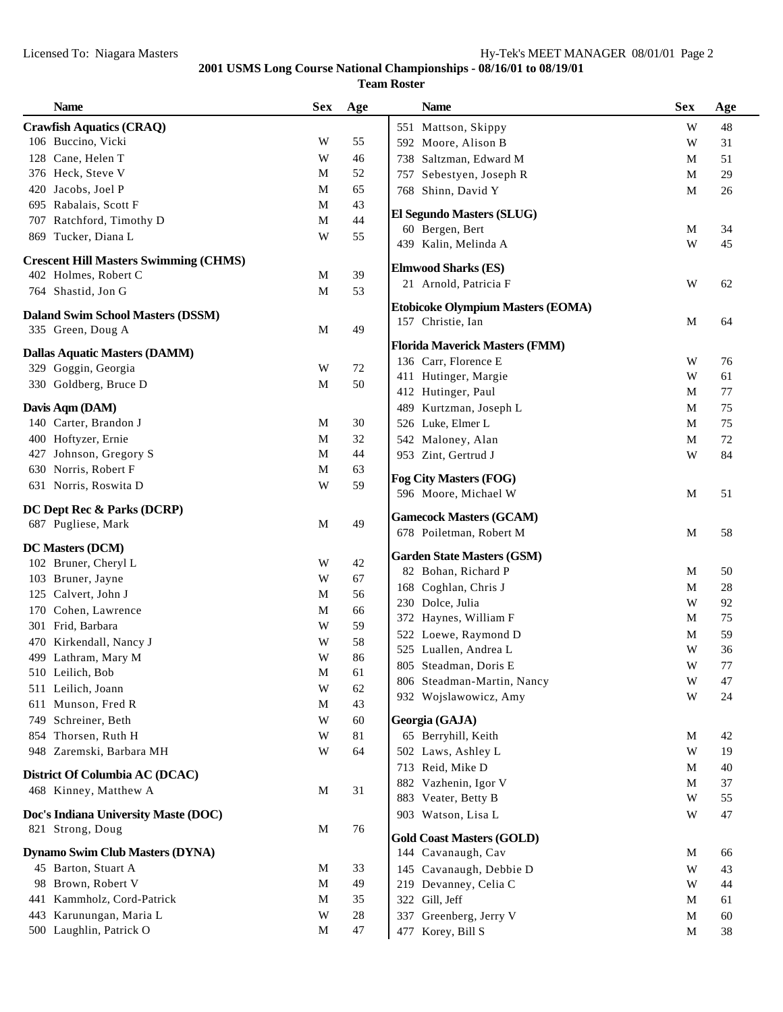| <b>Name</b>                                  | <b>Sex</b>  | Age      | <b>Name</b>                                    | <b>Sex</b> | Age      |
|----------------------------------------------|-------------|----------|------------------------------------------------|------------|----------|
| <b>Crawfish Aquatics (CRAQ)</b>              |             |          | 551 Mattson, Skippy                            | W          | 48       |
| 106 Buccino, Vicki                           | W           | 55       | 592 Moore, Alison B                            | W          | 31       |
| 128 Cane, Helen T                            | W           | 46       | 738 Saltzman, Edward M                         | M          | 51       |
| 376 Heck, Steve V                            | М           | 52       | 757 Sebestyen, Joseph R                        | M          | 29       |
| 420 Jacobs, Joel P                           | M           | 65       | 768 Shinn, David Y                             | M          | 26       |
| 695 Rabalais, Scott F                        | M           | 43       |                                                |            |          |
| 707 Ratchford, Timothy D                     | $\mathbf M$ | 44       | <b>El Segundo Masters (SLUG)</b>               |            |          |
| 869 Tucker, Diana L                          | W           | 55       | 60 Bergen, Bert<br>439 Kalin, Melinda A        | M<br>W     | 34<br>45 |
| <b>Crescent Hill Masters Swimming (CHMS)</b> |             |          |                                                |            |          |
| 402 Holmes, Robert C                         | M           | 39       | <b>Elmwood Sharks (ES)</b>                     |            |          |
| 764 Shastid, Jon G                           | $\mathbf M$ | 53       | 21 Arnold, Patricia F                          | W          | 62       |
| <b>Daland Swim School Masters (DSSM)</b>     |             |          | <b>Etobicoke Olympium Masters (EOMA)</b>       |            |          |
| 335 Green, Doug A                            | M           | 49       | 157 Christie, Ian                              | M          | 64       |
|                                              |             |          | <b>Florida Maverick Masters (FMM)</b>          |            |          |
| <b>Dallas Aquatic Masters (DAMM)</b>         |             |          | 136 Carr, Florence E                           | W          | 76       |
| 329 Goggin, Georgia                          | W           | $72\,$   | 411 Hutinger, Margie                           | W          | 61       |
| 330 Goldberg, Bruce D                        | M           | 50       | 412 Hutinger, Paul                             | M          | 77       |
| Davis Aqm (DAM)                              |             |          | 489 Kurtzman, Joseph L                         | M          | 75       |
| 140 Carter, Brandon J                        | M           | 30       | 526 Luke, Elmer L                              | M          | 75       |
| 400 Hoftyzer, Ernie                          | $\mathbf M$ | 32       | 542 Maloney, Alan                              | M          | $72\,$   |
| 427 Johnson, Gregory S                       | $\mathbf M$ | 44       | 953 Zint, Gertrud J                            | W          | 84       |
| 630 Norris, Robert F                         | $\mathbf M$ | 63       |                                                |            |          |
| 631 Norris, Roswita D                        | W           | 59       | Fog City Masters (FOG)<br>596 Moore, Michael W | M          | 51       |
| DC Dept Rec & Parks (DCRP)                   |             |          |                                                |            |          |
| 687 Pugliese, Mark                           | M           | 49       | <b>Gamecock Masters (GCAM)</b>                 |            |          |
|                                              |             |          | 678 Poiletman, Robert M                        | M          | 58       |
| <b>DC Masters (DCM)</b>                      |             |          | <b>Garden State Masters (GSM)</b>              |            |          |
| 102 Bruner, Cheryl L                         | W           | 42       | 82 Bohan, Richard P                            | M          | 50       |
| 103 Bruner, Jayne                            | W           | 67       | 168 Coghlan, Chris J                           | M          | 28       |
| 125 Calvert, John J                          | M           | 56       | 230 Dolce, Julia                               | W          | 92       |
| 170 Cohen, Lawrence                          | M           | 66       | 372 Haynes, William F                          | M          | 75       |
| 301 Frid, Barbara                            | W           | 59       | 522 Loewe, Raymond D                           | M          | 59       |
| 470 Kirkendall, Nancy J                      | W           | 58       | 525 Luallen, Andrea L                          | W          | 36       |
| 499 Lathram, Mary M                          | W           | 86       | 805 Steadman, Doris E                          | W          | 77       |
| 510 Leilich, Bob                             | M           | 61       | 806 Steadman-Martin, Nancy                     | W          | 47       |
| 511 Leilich, Joann<br>611 Munson, Fred R     | W<br>M      | 62<br>43 | 932 Wojslawowicz, Amy                          | W          | 24       |
|                                              | W           | 60       | Georgia (GAJA)                                 |            |          |
| 749 Schreiner, Beth<br>854 Thorsen, Ruth H   | W           | $81\,$   | 65 Berryhill, Keith                            | M          | 42       |
| 948 Zaremski, Barbara MH                     | W           | 64       | 502 Laws, Ashley L                             | W          | 19       |
|                                              |             |          | 713 Reid, Mike D                               | M          | 40       |
| District Of Columbia AC (DCAC)               |             |          | 882 Vazhenin, Igor V                           | M          | 37       |
| 468 Kinney, Matthew A                        | M           | 31       | 883 Veater, Betty B                            | W          | 55       |
| Doc's Indiana University Maste (DOC)         |             |          | 903 Watson, Lisa L                             | W          | 47       |
| 821 Strong, Doug                             | M           | 76       |                                                |            |          |
|                                              |             |          | <b>Gold Coast Masters (GOLD)</b>               |            |          |
| <b>Dynamo Swim Club Masters (DYNA)</b>       |             |          | 144 Cavanaugh, Cav                             | M          | 66       |
| 45 Barton, Stuart A<br>98 Brown, Robert V    | M<br>M      | 33<br>49 | 145 Cavanaugh, Debbie D                        | W          | 43       |
| 441 Kammholz, Cord-Patrick                   | M           | 35       | 219 Devanney, Celia C<br>322 Gill, Jeff        | W<br>M     | 44<br>61 |
| 443 Karunungan, Maria L                      | W           | $28\,$   | 337 Greenberg, Jerry V                         |            |          |
| 500 Laughlin, Patrick O                      | M           | 47       | 477 Korey, Bill S                              | M<br>M     | 60<br>38 |
|                                              |             |          |                                                |            |          |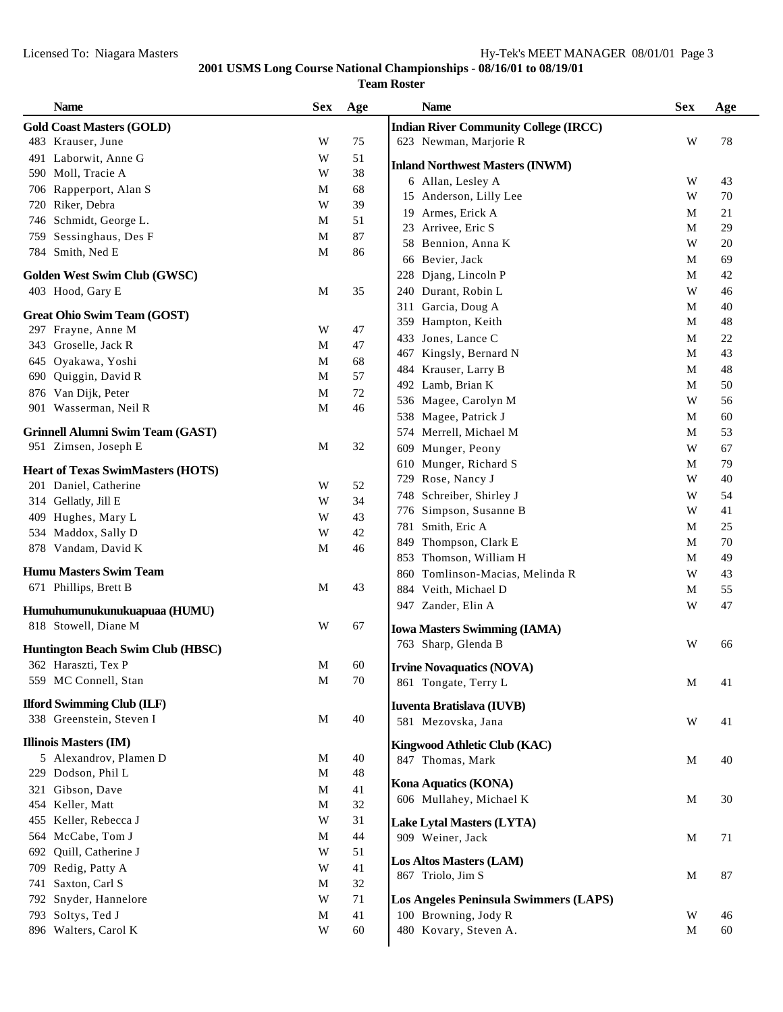|      | <b>Gold Coast Masters (GOLD)</b>         |             |        | <b>Indian River Community College (IRCC)</b>        |        |          |
|------|------------------------------------------|-------------|--------|-----------------------------------------------------|--------|----------|
|      |                                          |             |        |                                                     |        |          |
|      | 483 Krauser, June                        | W           | 75     | 623 Newman, Marjorie R                              | W      | 78       |
|      | 491 Laborwit, Anne G                     | W           | 51     |                                                     |        |          |
|      | 590 Moll, Tracie A                       | W           | 38     | <b>Inland Northwest Masters (INWM)</b>              |        |          |
|      | 706 Rapperport, Alan S                   | М           | 68     | 6 Allan, Lesley A                                   | W<br>W | 43<br>70 |
| 720  | Riker, Debra                             | W           | 39     | 15 Anderson, Lilly Lee                              |        |          |
|      | 746 Schmidt, George L.                   | M           | 51     | Armes, Erick A<br>19                                | M      | 21       |
|      | 759 Sessinghaus, Des F                   | M           | 87     | Arrivee, Eric S<br>23                               | M      | 29       |
|      | 784 Smith, Ned E                         | M           | 86     | Bennion, Anna K<br>58                               | W      | 20       |
|      |                                          |             |        | Bevier, Jack<br>66                                  | M      | 69       |
|      | Golden West Swim Club (GWSC)             |             |        | 228 Djang, Lincoln P                                | M      | 42       |
|      | 403 Hood, Gary E                         | M           | 35     | 240 Durant, Robin L                                 | W      | 46       |
|      | <b>Great Ohio Swim Team (GOST)</b>       |             |        | Garcia, Doug A<br>311                               | M      | 40       |
|      | 297 Frayne, Anne M                       | W           | 47     | 359 Hampton, Keith                                  | M      | 48       |
|      | 343 Groselle, Jack R                     | M           | 47     | Jones, Lance C<br>433                               | M      | 22       |
|      | 645 Oyakawa, Yoshi                       | M           | 68     | Kingsly, Bernard N<br>467                           | M      | 43       |
| 690- | Quiggin, David R                         | M           | 57     | Krauser, Larry B<br>484                             | M      | 48       |
|      | 876 Van Dijk, Peter                      | M           | $72\,$ | 492 Lamb, Brian K                                   | M      | 50       |
|      | 901 Wasserman, Neil R                    | M           | 46     | 536 Magee, Carolyn M                                | W      | 56       |
|      |                                          |             |        | 538 Magee, Patrick J                                | M      | 60       |
|      | <b>Grinnell Alumni Swim Team (GAST)</b>  |             |        | 574 Merrell, Michael M                              | M      | 53       |
|      | 951 Zimsen, Joseph E                     | M           | 32     | 609 Munger, Peony                                   | W      | 67       |
|      | <b>Heart of Texas SwimMasters (HOTS)</b> |             |        | 610 Munger, Richard S                               | M      | 79       |
|      | 201 Daniel, Catherine                    | W           | 52     | 729 Rose, Nancy J                                   | W      | 40       |
|      | 314 Gellatly, Jill E                     | W           | 34     | 748 Schreiber, Shirley J                            | W      | 54       |
|      | 409 Hughes, Mary L                       | W           | 43     | 776 Simpson, Susanne B                              | W      | 41       |
|      | 534 Maddox, Sally D                      | W           | 42     | 781 Smith, Eric A                                   | M      | 25       |
|      | 878 Vandam, David K                      | M           | 46     | Thompson, Clark E<br>849                            | M      | 70       |
|      |                                          |             |        | 853 Thomson, William H                              | M      | 49       |
|      | <b>Humu Masters Swim Team</b>            |             |        | Tomlinson-Macias, Melinda R<br>860                  | W      | 43       |
|      | 671 Phillips, Brett B                    | M           | 43     | 884 Veith, Michael D                                | M      | 55       |
|      | Humuhumunukunukuapuaa (HUMU)             |             |        | 947 Zander, Elin A                                  | W      | 47       |
|      | 818 Stowell, Diane M                     | W           | 67     | <b>Iowa Masters Swimming (IAMA)</b>                 |        |          |
|      |                                          |             |        | 763 Sharp, Glenda B                                 | W      | 66       |
|      | <b>Huntington Beach Swim Club (HBSC)</b> |             |        |                                                     |        |          |
|      | 362 Haraszti, Tex P                      | M           | 60     | <b>Irvine Novaquatics (NOVA)</b>                    |        |          |
|      | 559 MC Connell, Stan                     | $\mathbf M$ | 70     | 861 Tongate, Terry L                                | M      | 41       |
|      | <b>Ilford Swimming Club (ILF)</b>        |             |        | Iuventa Bratislava (IUVB)                           |        |          |
|      | 338 Greenstein, Steven I                 | M           | 40     | 581 Mezovska, Jana                                  | W      | 41       |
|      |                                          |             |        |                                                     |        |          |
|      | <b>Illinois Masters (IM)</b>             |             |        | Kingwood Athletic Club (KAC)                        |        |          |
|      | 5 Alexandrov, Plamen D                   | $\mathbf M$ | 40     | 847 Thomas, Mark                                    | M      | 40       |
|      | 229 Dodson, Phil L                       | M           | 48     | Kona Aquatics (KONA)                                |        |          |
|      | 321 Gibson, Dave                         | M           | 41     | 606 Mullahey, Michael K                             | M      | 30       |
|      | 454 Keller, Matt                         | M           | $32\,$ |                                                     |        |          |
|      | 455 Keller, Rebecca J                    | W           | 31     | Lake Lytal Masters (LYTA)                           |        |          |
|      | 564 McCabe, Tom J                        | M           | 44     | 909 Weiner, Jack                                    | M      | 71       |
|      | 692 Quill, Catherine J                   | W           | 51     |                                                     |        |          |
|      | 709 Redig, Patty A                       | W           | 41     | <b>Los Altos Masters (LAM)</b><br>867 Triolo, Jim S | M      | 87       |
|      | 741 Saxton, Carl S                       | M           | $32\,$ |                                                     |        |          |
|      | 792 Snyder, Hannelore                    | W           | 71     | <b>Los Angeles Peninsula Swimmers (LAPS)</b>        |        |          |
|      | 793 Soltys, Ted J                        | M           | 41     | 100 Browning, Jody R                                | W      | 46       |
|      |                                          |             |        |                                                     |        |          |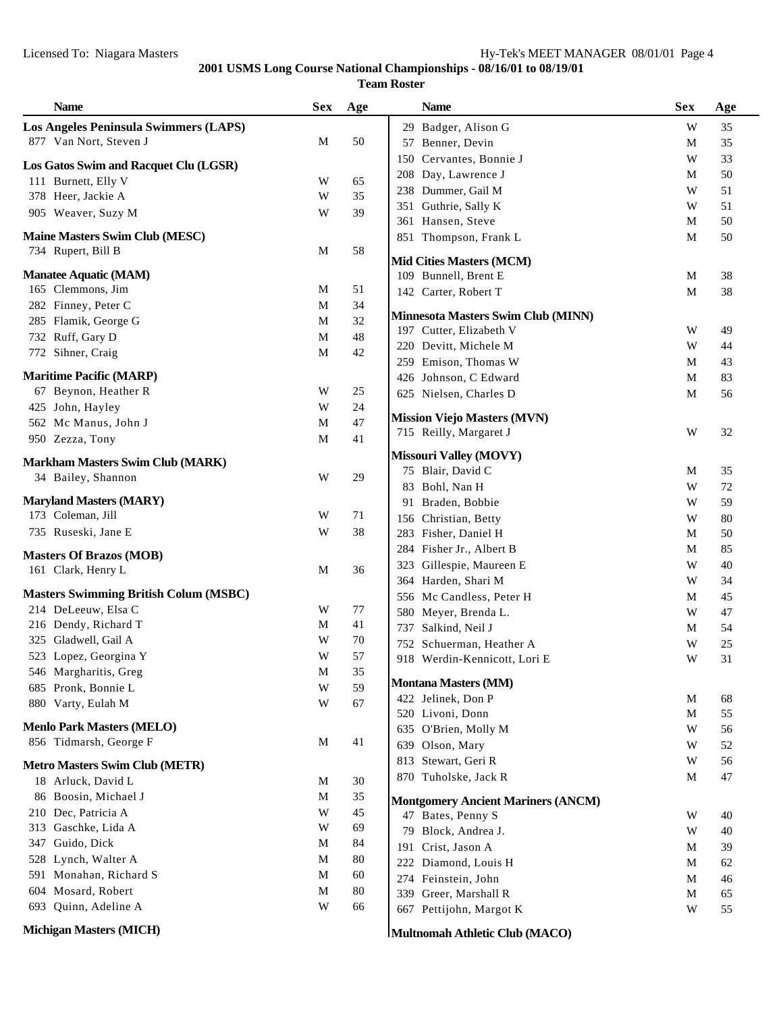| <b>Name</b>                                                  | <b>Sex</b>  | Age      | <b>Name</b>                                                    | <b>Sex</b>   | Age |
|--------------------------------------------------------------|-------------|----------|----------------------------------------------------------------|--------------|-----|
| <b>Los Angeles Peninsula Swimmers (LAPS)</b>                 |             |          | 29 Badger, Alison G                                            | W            | 35  |
| 877 Van Nort, Steven J                                       | M           | 50       | 57 Benner, Devin                                               | M            | 35  |
|                                                              |             |          | 150 Cervantes, Bonnie J                                        | W            | 33  |
| Los Gatos Swim and Racquet Clu (LGSR)<br>111 Burnett, Elly V |             |          | 208 Day, Lawrence J                                            | M            | 50  |
| 378 Heer, Jackie A                                           | W<br>W      | 65<br>35 | 238 Dummer, Gail M                                             | W            | 51  |
|                                                              |             |          | 351 Guthrie, Sally K                                           | W            | 51  |
| 905 Weaver, Suzy M                                           | W           | 39       | 361 Hansen, Steve                                              | M            | 50  |
| <b>Maine Masters Swim Club (MESC)</b>                        |             |          | 851 Thompson, Frank L                                          | $\mathbf{M}$ | 50  |
| 734 Rupert, Bill B                                           | M           | 58       |                                                                |              |     |
| <b>Manatee Aquatic (MAM)</b>                                 |             |          | <b>Mid Cities Masters (MCM)</b>                                |              |     |
| 165 Clemmons, Jim                                            | M           | 51       | 109 Bunnell, Brent E                                           | M            | 38  |
| 282 Finney, Peter C                                          | M           | 34       | 142 Carter, Robert T                                           | M            | 38  |
| 285 Flamik, George G                                         | M           | 32       | <b>Minnesota Masters Swim Club (MINN)</b>                      |              |     |
|                                                              |             |          | 197 Cutter, Elizabeth V                                        | W            | 49  |
| 732 Ruff, Gary D                                             | M           | 48       | 220 Devitt, Michele M                                          | W            | 44  |
| 772 Sihner, Craig                                            | $\mathbf M$ | 42       | 259 Emison, Thomas W                                           | M            | 43  |
| <b>Maritime Pacific (MARP)</b>                               |             |          | 426 Johnson, C Edward                                          | M            | 83  |
| 67 Beynon, Heather R                                         | W           | 25       | 625 Nielsen, Charles D                                         | M            | 56  |
| 425 John, Hayley                                             | W           | 24       |                                                                |              |     |
| 562 Mc Manus, John J                                         | M           | $47\,$   | <b>Mission Viejo Masters (MVN)</b>                             |              |     |
| 950 Zezza, Tony                                              | M           | 41       | 715 Reilly, Margaret J                                         | W            | 32  |
|                                                              |             |          | <b>Missouri Valley (MOVY)</b>                                  |              |     |
| <b>Markham Masters Swim Club (MARK)</b>                      |             |          | 75 Blair, David C                                              | M            | 35  |
| 34 Bailey, Shannon                                           | W           | 29       | 83 Bohl, Nan H                                                 | W            | 72  |
| <b>Maryland Masters (MARY)</b>                               |             |          | 91 Braden, Bobbie                                              | W            | 59  |
| 173 Coleman, Jill                                            | W           | 71       | 156 Christian, Betty                                           | W            | 80  |
| 735 Ruseski, Jane E                                          | W           | 38       | 283 Fisher, Daniel H                                           | M            | 50  |
|                                                              |             |          | 284 Fisher Jr., Albert B                                       | M            | 85  |
| <b>Masters Of Brazos (MOB)</b>                               |             |          | 323 Gillespie, Maureen E                                       | W            | 40  |
| 161 Clark, Henry L                                           | M           | 36       | 364 Harden, Shari M                                            | W            | 34  |
| <b>Masters Swimming British Colum (MSBC)</b>                 |             |          | 556 Mc Candless, Peter H                                       | M            | 45  |
| 214 DeLeeuw, Elsa C                                          | W           | 77       | 580 Meyer, Brenda L.                                           | W            | 47  |
| 216 Dendy, Richard T                                         | M           | 41       | 737 Salkind, Neil J                                            | М            | 54  |
| 325 Gladwell, Gail A                                         | W           | 70       | 752 Schuerman, Heather A                                       | W            | 25  |
| 523 Lopez, Georgina Y                                        | W           | 57       | 918 Werdin-Kennicott, Lori E                                   | W            | 31  |
| 546 Margharitis, Greg                                        | $\mathbf M$ | 35       |                                                                |              |     |
| 685 Pronk, Bonnie L                                          | W           | 59       | <b>Montana Masters (MM)</b>                                    |              |     |
| 880 Varty, Eulah M                                           | W           | 67       | 422 Jelinek, Don P                                             | M            | 68  |
|                                                              |             |          | 520 Livoni, Donn                                               | M            | 55  |
| <b>Menlo Park Masters (MELO)</b>                             |             |          | 635 O'Brien, Molly M                                           | W            | 56  |
| 856 Tidmarsh, George F                                       | M           | 41       | 639 Olson, Mary                                                | W            | 52  |
| <b>Metro Masters Swim Club (METR)</b>                        |             |          | 813 Stewart, Geri R                                            | W            | 56  |
| 18 Arluck, David L                                           | M           | 30       | 870 Tuholske, Jack R                                           | M            | 47  |
| 86 Boosin, Michael J                                         | M           | 35       |                                                                |              |     |
| 210 Dec, Patricia A                                          | W           | 45       | <b>Montgomery Ancient Mariners (ANCM)</b><br>47 Bates, Penny S | W            | 40  |
| 313 Gaschke, Lida A                                          | W           | 69       | Block, Andrea J.<br>79                                         | W            | 40  |
| Guido, Dick<br>347                                           | M           | 84       | 191 Crist, Jason A                                             | M            |     |
| 528 Lynch, Walter A                                          | M           | 80       |                                                                |              | 39  |
| 591 Monahan, Richard S                                       | M           | 60       | 222 Diamond, Louis H                                           | M            | 62  |
| 604 Mosard, Robert                                           | M           | $80\,$   | 274 Feinstein, John                                            | M            | 46  |
| 693 Quinn, Adeline A                                         | W           | 66       | 339 Greer, Marshall R                                          | M            | 65  |
|                                                              |             |          | 667 Pettijohn, Margot K                                        | W            | 55  |
| <b>Michigan Masters (MICH)</b>                               |             |          | Multnomah Athletic Club (MACO)                                 |              |     |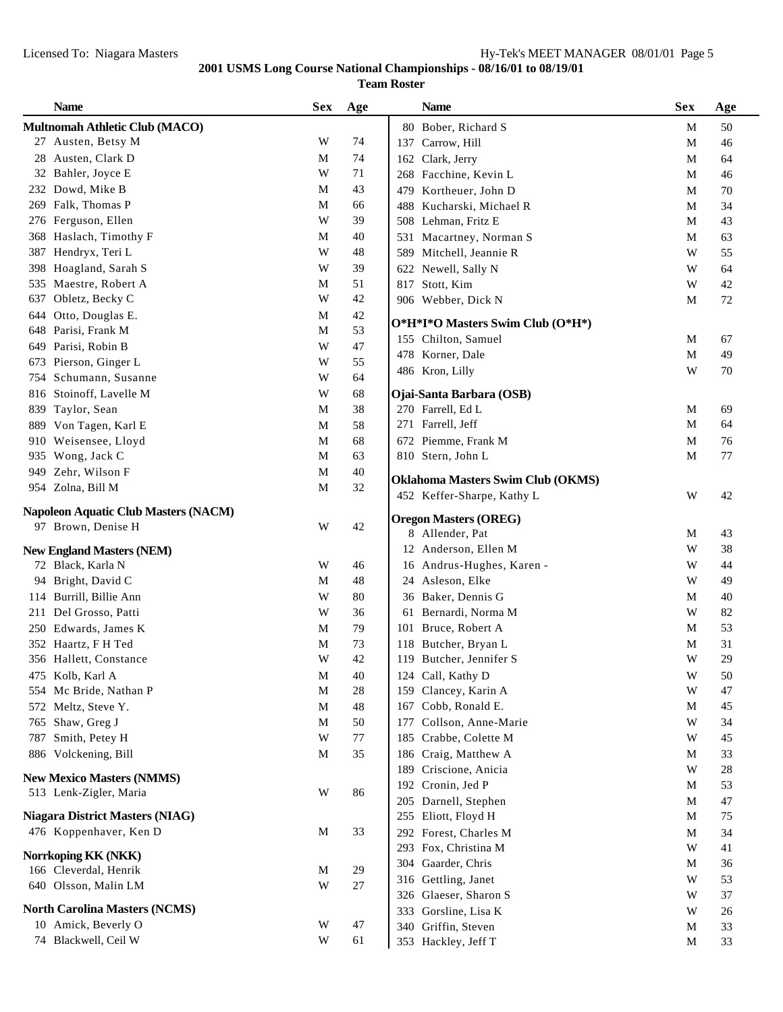|      | <b>Name</b>                          | <b>Sex</b>  | Age    |            | <b>Name</b>                              | <b>Sex</b>  | Age |
|------|--------------------------------------|-------------|--------|------------|------------------------------------------|-------------|-----|
|      | Multnomah Athletic Club (MACO)       |             |        |            | 80 Bober, Richard S                      | M           | 50  |
|      | 27 Austen, Betsy M                   | W           | 74     | 137        | Carrow, Hill                             | M           | 46  |
|      | 28 Austen, Clark D                   | M           | 74     | 162        | Clark, Jerry                             | M           | 64  |
|      | 32 Bahler, Joyce E                   | W           | 71     |            | 268 Facchine, Kevin L                    | M           | 46  |
|      | 232 Dowd, Mike B                     | M           | 43     | 479        | Kortheuer, John D                        | M           | 70  |
|      | 269 Falk, Thomas P                   | M           | 66     | 488        | Kucharski, Michael R                     | M           | 34  |
|      | 276 Ferguson, Ellen                  | W           | 39     |            | 508 Lehman, Fritz E                      | M           | 43  |
| 368  | Haslach, Timothy F                   | М           | 40     |            | 531 Macartney, Norman S                  | $\mathbf M$ | 63  |
| 387  | Hendryx, Teri L                      | W           | 48     | 589        | Mitchell, Jeannie R                      | W           | 55  |
| 398  | Hoagland, Sarah S                    | W           | 39     |            | 622 Newell, Sally N                      | W           | 64  |
| 535  | Maestre, Robert A                    | M           | 51     | 817        | Stott, Kim                               | W           | 42  |
| 637  | Obletz, Becky C                      | W           | 42     |            | 906 Webber, Dick N                       | M           | 72  |
| 644  | Otto, Douglas E.                     | M           | 42     |            |                                          |             |     |
| 648  | Parisi, Frank M                      | $\mathbf M$ | 53     |            | O*H*I*O Masters Swim Club (O*H*)         |             |     |
| 649  | Parisi, Robin B                      | W           | $47\,$ |            | 155 Chilton, Samuel                      | $\mathbf M$ | 67  |
| 673  | Pierson, Ginger L                    | W           | 55     |            | 478 Korner, Dale                         | $\mathbf M$ | 49  |
| 754  | Schumann, Susanne                    | W           | 64     |            | 486 Kron, Lilly                          | W           | 70  |
|      | 816 Stoinoff, Lavelle M              | W           | 68     |            | Ojai-Santa Barbara (OSB)                 |             |     |
|      | 839 Taylor, Sean                     | M           | 38     |            | 270 Farrell, Ed L                        | M           | 69  |
|      | 889 Von Tagen, Karl E                | M           | 58     |            | 271 Farrell, Jeff                        | M           | 64  |
| 910  | Weisensee, Lloyd                     | $\mathbf M$ | 68     |            | 672 Piemme, Frank M                      | $\mathbf M$ | 76  |
| 935  | Wong, Jack C                         | $\mathbf M$ | 63     |            | 810 Stern, John L                        | $\mathbf M$ | 77  |
| 949. | Zehr, Wilson F                       | $\mathbf M$ | 40     |            |                                          |             |     |
|      | 954 Zolna, Bill M                    | M           | 32     |            | <b>Oklahoma Masters Swim Club (OKMS)</b> |             |     |
|      |                                      |             |        |            | 452 Keffer-Sharpe, Kathy L               | W           | 42  |
|      | Napoleon Aquatic Club Masters (NACM) |             |        |            | <b>Oregon Masters (OREG)</b>             |             |     |
|      | 97 Brown, Denise H                   | W           | 42     |            | 8 Allender, Pat                          | M           | 43  |
|      | <b>New England Masters (NEM)</b>     |             |        |            | 12 Anderson, Ellen M                     | W           | 38  |
|      | 72 Black, Karla N                    | W           | 46     |            | 16 Andrus-Hughes, Karen -                | W           | 44  |
|      | 94 Bright, David C                   | M           | 48     |            | 24 Asleson, Elke                         | W           | 49  |
|      | 114 Burrill, Billie Ann              | W           | 80     |            | 36 Baker, Dennis G                       | M           | 40  |
| 211  | Del Grosso, Patti                    | W           | 36     | 61         | Bernardi, Norma M                        | W           | 82  |
|      | 250 Edwards, James K                 | M           | 79     |            | 101 Bruce, Robert A                      | M           | 53  |
|      | 352 Haartz, F H Ted                  | $\mathbf M$ | 73     | 118        | Butcher, Bryan L                         | $\mathbf M$ | 31  |
|      | 356 Hallett, Constance               | W           | 42     |            | 119 Butcher, Jennifer S                  | W           | 29  |
|      | 475 Kolb, Karl A                     | $\mathbf M$ | 40     |            | 124 Call, Kathy D                        | W           | 50  |
|      | 554 Mc Bride, Nathan P               | M           | 28     |            | 159 Clancey, Karin A                     | W           | 47  |
|      | 572 Meltz, Steve Y.                  | M           | 48     | 167        | Cobb, Ronald E.                          | M           | 45  |
| 765  | Shaw, Greg J                         | $\mathbf M$ | 50     |            | Collson, Anne-Marie                      | W           | 34  |
| 787  | Smith, Petey H                       | W           | $77\,$ | 177<br>185 | Crabbe, Colette M                        | W           | 45  |
|      | 886 Volckening, Bill                 | M           | 35     |            | 186 Craig, Matthew A                     | M           | 33  |
|      |                                      |             |        | 189        | Criscione, Anicia                        | W           | 28  |
|      | <b>New Mexico Masters (NMMS)</b>     |             |        |            | 192 Cronin, Jed P                        | M           | 53  |
|      | 513 Lenk-Zigler, Maria               | W           | 86     |            |                                          |             |     |
|      | Niagara District Masters (NIAG)      |             |        | 205        | Darnell, Stephen                         | M           | 47  |
|      |                                      |             |        |            | 255 Eliott, Floyd H                      | M           | 75  |
|      | 476 Koppenhaver, Ken D               | M           | 33     |            | 292 Forest, Charles M                    | M           | 34  |
|      | Norrkoping KK (NKK)                  |             |        |            | 293 Fox, Christina M                     | W           | 41  |
|      | 166 Cleverdal, Henrik                | M           | 29     |            | 304 Gaarder, Chris                       | M           | 36  |
|      | 640 Olsson, Malin LM                 | W           | $27\,$ | 316        | Gettling, Janet                          | W           | 53  |
|      |                                      |             |        | 326        | Glaeser, Sharon S                        | W           | 37  |
|      | <b>North Carolina Masters (NCMS)</b> |             |        | 333        | Gorsline, Lisa K                         | W           | 26  |
|      | 10 Amick, Beverly O                  | W           | 47     | 340        | Griffin, Steven                          | M           | 33  |
|      | 74 Blackwell, Ceil W                 | W           | 61     |            | 353 Hackley, Jeff T                      | M           | 33  |
|      |                                      |             |        |            |                                          |             |     |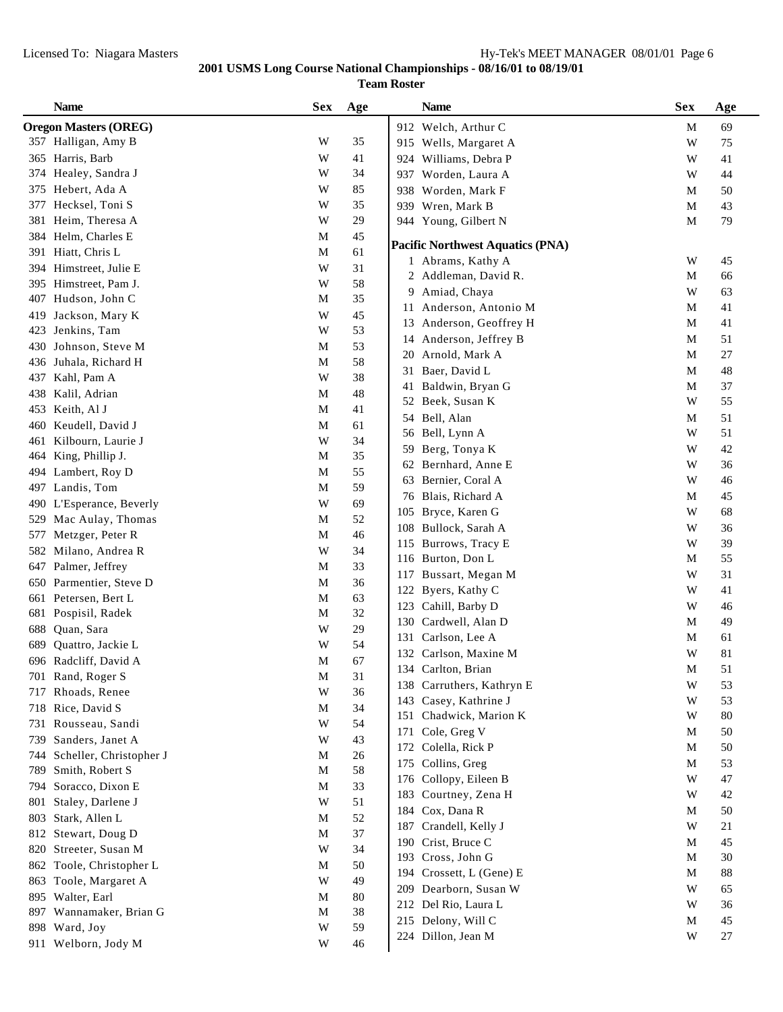|     | <b>Name</b>                  | <b>Sex</b>  | Age    | <b>Name</b>                                   | <b>Sex</b>  | Age      |
|-----|------------------------------|-------------|--------|-----------------------------------------------|-------------|----------|
|     | <b>Oregon Masters (OREG)</b> |             |        | 912 Welch, Arthur C                           | M           | 69       |
|     | 357 Halligan, Amy B          | W           | 35     | 915 Wells, Margaret A                         | W           | 75       |
| 365 | Harris, Barb                 | W           | 41     | 924 Williams, Debra P                         | W           | 41       |
| 374 | Healey, Sandra J             | W           | 34     | Worden, Laura A<br>937                        | W           | 44       |
| 375 | Hebert, Ada A                | W           | 85     | Worden, Mark F<br>938                         | M           | 50       |
| 377 | Hecksel, Toni S              | W           | 35     | 939 Wren, Mark B                              | $\mathbf M$ | 43       |
| 381 | Heim, Theresa A              | W           | 29     | 944 Young, Gilbert N                          | $\mathbf M$ | 79       |
| 384 | Helm, Charles E              | M           | 45     |                                               |             |          |
|     | 391 Hiatt, Chris L           | M           | 61     | <b>Pacific Northwest Aquatics (PNA)</b>       |             |          |
|     | 394 Himstreet, Julie E       | W           | 31     | 1 Abrams, Kathy A                             | W           | 45       |
|     | 395 Himstreet, Pam J.        | W           | 58     | 2 Addleman, David R.                          | $\mathbf M$ | 66       |
|     | 407 Hudson, John C           | M           | 35     | 9 Amiad, Chaya                                | W           | 63       |
| 419 | Jackson, Mary K              | W           | 45     | Anderson, Antonio M<br>11                     | $\mathbf M$ | 41       |
| 423 | Jenkins, Tam                 | W           | 53     | 13 Anderson, Geoffrey H                       | $\mathbf M$ | 41       |
| 430 | Johnson, Steve M             | M           | 53     | 14 Anderson, Jeffrey B                        | $\mathbf M$ | 51       |
| 436 | Juhala, Richard H            | $\mathbf M$ | 58     | Arnold, Mark A<br>20                          | $\mathbf M$ | 27       |
| 437 | Kahl, Pam A                  | W           | 38     | 31 Baer, David L                              | M           | 48       |
| 438 | Kalil, Adrian                | M           | 48     | Baldwin, Bryan G<br>41                        | M           | 37       |
| 453 | Keith, Al J                  | M           | 41     | Beek, Susan K<br>52                           | W           | 55       |
| 460 | Keudell, David J             | M           | 61     | 54 Bell, Alan                                 | M           | 51       |
| 461 | Kilbourn, Laurie J           | W           | 34     | 56 Bell, Lynn A                               | W           | 51       |
| 464 | King, Phillip J.             | M           | 35     | Berg, Tonya K<br>59                           | W           | 42       |
| 494 | Lambert, Roy D               | M           | 55     | 62 Bernhard, Anne E                           | W           | 36       |
| 497 | Landis, Tom                  | $\mathbf M$ | 59     | 63 Bernier, Coral A                           | W           | 46       |
| 490 | L'Esperance, Beverly         | W           | 69     | 76 Blais, Richard A                           | M           | 45       |
| 529 | Mac Aulay, Thomas            | M           | 52     | 105 Bryce, Karen G                            | W           | 68       |
| 577 | Metzger, Peter R             | $\mathbf M$ | 46     | 108 Bullock, Sarah A                          | W           | 36       |
| 582 | Milano, Andrea R             | W           | 34     | 115 Burrows, Tracy E                          | W           | 39       |
| 647 | Palmer, Jeffrey              | M           | 33     | 116 Burton, Don L                             | M           | 55       |
| 650 | Parmentier, Steve D          | M           | 36     | Bussart, Megan M<br>117                       | W           | 31       |
|     | 661 Petersen, Bert L         | M           | 63     | 122 Byers, Kathy C                            | W           | 41       |
|     | 681 Pospisil, Radek          | $\mathbf M$ | 32     | Cahill, Barby D<br>123                        | W           | 46       |
| 688 | Quan, Sara                   | W           | 29     | Cardwell, Alan D<br>130                       | M           | 49       |
| 689 | Quattro, Jackie L            | W           | 54     | Carlson, Lee A<br>131                         | M           | 61       |
|     | 696 Radcliff, David A        | M           | 67     | 132 Carlson, Maxine M                         | W           | 81       |
| 701 | Rand, Roger S                | M           | 31     | 134 Carlton, Brian                            | M           | 51       |
| 717 | Rhoads, Renee                | W           | 36     | 138 Carruthers, Kathryn E                     | W           | 53       |
| 718 | Rice, David S                | M           | 34     | 143 Casey, Kathrine J                         | W           | 53       |
| 731 | Rousseau, Sandi              | W           | 54     | 151 Chadwick, Marion K                        | W           | 80       |
| 739 | Sanders, Janet A             | W           | 43     | 171 Cole, Greg V                              | M           | 50       |
| 744 | Scheller, Christopher J      | M           | $26\,$ | 172 Colella, Rick P                           | M           | 50       |
| 789 | Smith, Robert S              | M           | 58     | 175 Collins, Greg                             | M           | 53       |
| 794 | Soracco, Dixon E             | M           | 33     | 176 Collopy, Eileen B                         | W           | 47       |
| 801 | Staley, Darlene J            | W           | 51     | 183 Courtney, Zena H                          | W           | 42       |
| 803 | Stark, Allen L               | M           | 52     | 184 Cox, Dana R                               | M           | 50       |
| 812 | Stewart, Doug D              | M           | 37     | Crandell, Kelly J<br>187                      | W           | 21       |
| 820 | Streeter, Susan M            | W           | 34     | 190 Crist, Bruce C                            | M           | 45       |
|     | 862 Toole, Christopher L     | M           | 50     | 193 Cross, John G<br>194 Crossett, L (Gene) E | M<br>M      | 30<br>88 |
|     | 863 Toole, Margaret A        | W           | 49     | 209 Dearborn, Susan W                         | W           |          |
|     | 895 Walter, Earl             | M           | $80\,$ | 212 Del Rio, Laura L                          | W           | 65<br>36 |
|     | 897 Wannamaker, Brian G      | M           | 38     |                                               | M           | 45       |
|     | 898 Ward, Joy                | W           | 59     | 215 Delony, Will C<br>224 Dillon, Jean M      | W           | 27       |
|     | 911 Welborn, Jody M          | W           | 46     |                                               |             |          |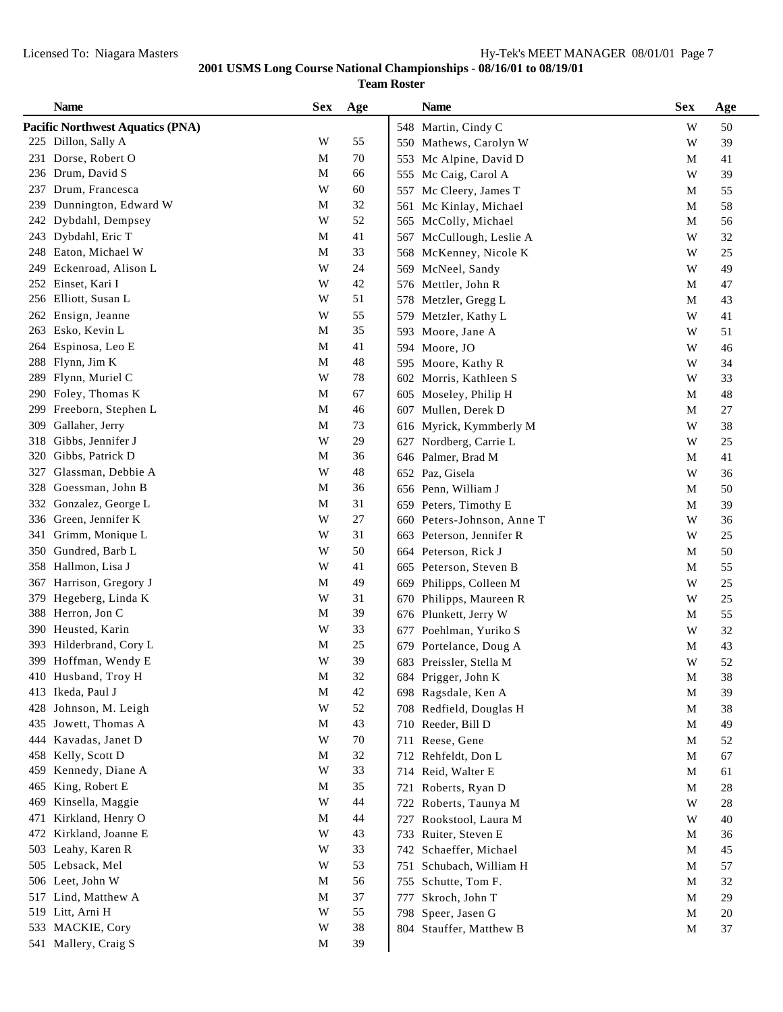|            | <b>Name</b>                      | <b>Sex</b>  | Age      |            | <b>Name</b>                                    | <b>Sex</b>              | Age    |
|------------|----------------------------------|-------------|----------|------------|------------------------------------------------|-------------------------|--------|
|            | Pacific Northwest Aquatics (PNA) |             |          |            | 548 Martin, Cindy C                            | W                       | 50     |
|            | 225 Dillon, Sally A              | W           | 55       |            | 550 Mathews, Carolyn W                         | W                       | 39     |
| 231        | Dorse, Robert O                  | M           | 70       | 553        | Mc Alpine, David D                             | M                       | 41     |
|            | 236 Drum, David S                | M           | 66       | 555        | Mc Caig, Carol A                               | W                       | 39     |
| 237        | Drum, Francesca                  | W           | 60       | 557        | Mc Cleery, James T                             | M                       | 55     |
| 239        | Dunnington, Edward W             | M           | 32       | 561        | Mc Kinlay, Michael                             | M                       | 58     |
| 242        | Dybdahl, Dempsey                 | W           | 52       |            | 565 McColly, Michael                           | M                       | 56     |
| 243        | Dybdahl, Eric T                  | M           | 41       |            | 567 McCullough, Leslie A                       | W                       | 32     |
| 248        | Eaton, Michael W                 | M           | 33       |            | 568 McKenney, Nicole K                         | W                       | 25     |
| 249        | Eckenroad, Alison L              | W           | 24       |            | 569 McNeel, Sandy                              | W                       | 49     |
| 252        | Einset, Kari I                   | W           | 42       |            | 576 Mettler, John R                            | $\mathbf M$             | 47     |
|            | 256 Elliott, Susan L             | W           | 51       |            | 578 Metzler, Gregg L                           | M                       | 43     |
| 262        | Ensign, Jeanne                   | W           | 55       |            | 579 Metzler, Kathy L                           | W                       | 41     |
| 263        | Esko, Kevin L                    | M           | 35       |            | 593 Moore, Jane A                              | W                       | 51     |
| 264        | Espinosa, Leo E                  | M           | 41       |            | 594 Moore, JO                                  | W                       | 46     |
| 288        | Flynn, Jim K                     | M           | 48       |            | 595 Moore, Kathy R                             | W                       | 34     |
| 289        | Flynn, Muriel C                  | W           | 78       | 602        | Morris, Kathleen S                             | W                       | 33     |
| 290        | Foley, Thomas K                  | M           | 67       |            | 605 Moseley, Philip H                          | M                       | 48     |
| 299        | Freeborn, Stephen L              | $\mathbf M$ | 46       |            | 607 Mullen, Derek D                            | M                       | 27     |
| 309        | Gallaher, Jerry                  | M           | 73       |            | 616 Myrick, Kymmberly M                        | W                       | 38     |
| 318        | Gibbs, Jennifer J                | W           | 29       |            | 627 Nordberg, Carrie L                         | W                       | $25\,$ |
| 320        | Gibbs, Patrick D                 | M           | 36       |            | 646 Palmer, Brad M                             | $\mathbf{M}$            | 41     |
| 327        | Glassman, Debbie A               | W           | 48       |            | 652 Paz, Gisela                                | W                       | 36     |
| 328        | Goessman, John B                 | M           | 36       |            | 656 Penn, William J                            | M                       | 50     |
| 332        | Gonzalez, George L               | M           | 31       |            | 659 Peters, Timothy E                          | M                       | 39     |
| 336        | Green, Jennifer K                | W           | $27\,$   |            | 660 Peters-Johnson, Anne T                     | W                       | 36     |
| 341        | Grimm, Monique L                 | W           | 31       |            | 663 Peterson, Jennifer R                       | W                       | 25     |
| 350        | Gundred, Barb L                  | W           | 50       |            |                                                | $\mathbf M$             | 50     |
| 358        | Hallmon, Lisa J                  | W           | 41       |            | 664 Peterson, Rick J<br>665 Peterson, Steven B | $\mathbf M$             | 55     |
| 367        | Harrison, Gregory J              | $\mathbf M$ | 49       |            |                                                | W                       | 25     |
| 379        | Hegeberg, Linda K                | W           | 31       | 669<br>670 | Philipps, Colleen M                            | W                       | 25     |
| 388        | Herron, Jon C                    | M           | 39       | 676        | Philipps, Maureen R<br>Plunkett, Jerry W       | $\mathbf M$             | 55     |
| 390        | Heusted, Karin                   | W           | 33       |            | Poehlman, Yuriko S                             | $\ensuremath{\text{W}}$ | 32     |
| 393        | Hilderbrand, Cory L              | $\mathbf M$ | 25       | 677<br>679 |                                                | $\mathbf M$             | 43     |
|            | 399 Hoffman, Wendy E             | W           | 39       |            | Portelance, Doug A                             |                         |        |
| 410        | Husband, Troy H                  | $\mathbf M$ | $32\,$   |            | 683 Preissler, Stella M                        | W                       | 52     |
| 413        | Ikeda, Paul J                    | M           | 42       |            | 684 Prigger, John K<br>698 Ragsdale, Ken A     | M<br>$\mathbf M$        | 38     |
| 428        | Johnson, M. Leigh                | W           | 52       |            |                                                |                         | 39     |
| 435        | Jowett, Thomas A                 | M           | 43       |            | 708 Redfield, Douglas H<br>710 Reeder, Bill D  | $\mathbf M$             | 38     |
|            | Kavadas, Janet D                 |             |          |            |                                                | M                       | 49     |
| 444<br>458 | Kelly, Scott D                   | W<br>M      | 70<br>32 |            | 711 Reese, Gene                                | $\mathbf M$             | 52     |
|            | Kennedy, Diane A                 | W           | 33       |            | 712 Rehfeldt, Don L                            | $\mathbf M$             | 67     |
| 459        |                                  |             | 35       |            | 714 Reid, Walter E                             | $\mathbf M$             | 61     |
| 465        | King, Robert E                   | M<br>W      |          | 721        | Roberts, Ryan D                                | M                       | 28     |
| 469        | Kinsella, Maggie                 |             | 44       |            | 722 Roberts, Taunya M                          | W                       | 28     |
| 471        | Kirkland, Henry O                | M           | 44       | 727        | Rookstool, Laura M                             | W                       | 40     |
| 472        | Kirkland, Joanne E               | W           | 43       | 733        | Ruiter, Steven E                               | $\mathbf M$             | 36     |
| 503        | Leahy, Karen R                   | W           | 33       |            | 742 Schaeffer, Michael                         | $\mathbf M$             | 45     |
| 505        | Lebsack, Mel                     | W           | 53       |            | 751 Schubach, William H                        | $\mathbf M$             | 57     |
| 506        | Leet, John W                     | M           | 56       | 755        | Schutte, Tom F.                                | $\mathbf M$             | 32     |
| 517        | Lind, Matthew A                  | M           | 37       | 777        | Skroch, John T                                 | $\mathbf M$             | 29     |
|            | 519 Litt, Arni H                 | W           | 55       |            | 798 Speer, Jasen G                             | $\mathbf M$             | $20\,$ |
|            | 533 MACKIE, Cory                 | W           | $38\,$   |            | 804 Stauffer, Matthew B                        | $\mathbf M$             | 37     |
|            | 541 Mallery, Craig S             | M           | 39       |            |                                                |                         |        |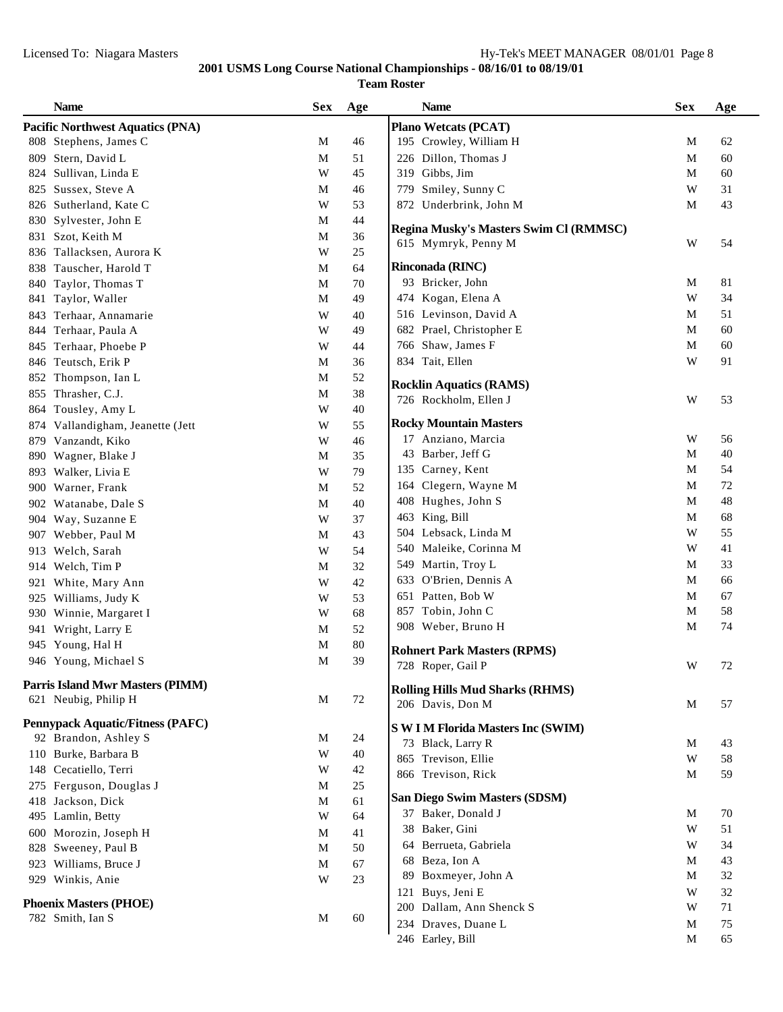**Team Roster**

|     | <b>Name</b>                             | <b>Sex</b> | Age    | <b>Name</b>                               | <b>Sex</b>  | Age |
|-----|-----------------------------------------|------------|--------|-------------------------------------------|-------------|-----|
|     | <b>Pacific Northwest Aquatics (PNA)</b> |            |        | <b>Plano Wetcats (PCAT)</b>               |             |     |
|     | 808 Stephens, James C                   | М          | 46     | 195 Crowley, William H                    | М           | 62  |
| 809 | Stern, David L                          | M          | 51     | 226 Dillon, Thomas J                      | M           | 60  |
| 824 | Sullivan, Linda E                       | W          | 45     | 319 Gibbs, Jim                            | M           | 60  |
| 825 | Sussex, Steve A                         | М          | 46     | 779 Smiley, Sunny C                       | W           | 31  |
|     | 826 Sutherland, Kate C                  | W          | 53     | 872 Underbrink, John M                    | M           | 43  |
|     | 830 Sylvester, John E                   | М          | 44     |                                           |             |     |
|     | 831 Szot, Keith M                       | М          | 36     | Regina Musky's Masters Swim Cl (RMMSC)    | W           | 54  |
|     | 836 Tallacksen, Aurora K                | W          | 25     | 615 Mymryk, Penny M                       |             |     |
|     | 838 Tauscher, Harold T                  | М          | 64     | Rinconada (RINC)                          |             |     |
|     | 840 Taylor, Thomas T                    | M          | 70     | 93 Bricker, John                          | М           | 81  |
|     | 841 Taylor, Waller                      | M          | 49     | 474 Kogan, Elena A                        | W           | 34  |
|     | 843 Terhaar, Annamarie                  | W          | 40     | 516 Levinson, David A                     | М           | 51  |
|     | 844 Terhaar, Paula A                    | W          | 49     | 682 Prael, Christopher E                  | M           | 60  |
|     | 845 Terhaar, Phoebe P                   | W          | 44     | 766 Shaw, James F                         | M           | 60  |
|     | 846 Teutsch, Erik P                     | M          | 36     | 834 Tait, Ellen                           | W           | 91  |
|     | 852 Thompson, Ian L                     | M          | 52     |                                           |             |     |
|     | 855 Thrasher, C.J.                      | M          | 38     | <b>Rocklin Aquatics (RAMS)</b>            | W           |     |
|     | 864 Tousley, Amy L                      | W          | 40     | 726 Rockholm, Ellen J                     |             | 53  |
|     | 874 Vallandigham, Jeanette (Jett        | W          | 55     | <b>Rocky Mountain Masters</b>             |             |     |
|     | 879 Vanzandt, Kiko                      | W          | 46     | 17 Anziano, Marcia                        | W           | 56  |
|     | 890 Wagner, Blake J                     | M          | 35     | 43 Barber, Jeff G                         | M           | 40  |
|     | 893 Walker, Livia E                     | W          | 79     | 135 Carney, Kent                          | M           | 54  |
|     | 900 Warner, Frank                       | М          | 52     | 164 Clegern, Wayne M                      | M           | 72  |
|     | 902 Watanabe, Dale S                    | M          | 40     | 408 Hughes, John S                        | M           | 48  |
|     | 904 Way, Suzanne E                      | W          | 37     | 463 King, Bill                            | M           | 68  |
|     | 907 Webber, Paul M                      | M          | 43     | 504 Lebsack, Linda M                      | W           | 55  |
| 913 | Welch, Sarah                            | W          | 54     | 540 Maleike, Corinna M                    | W           | 41  |
|     | 914 Welch, Tim P                        | М          | 32     | 549 Martin, Troy L                        | M           | 33  |
|     | 921 White, Mary Ann                     | W          | 42     | 633 O'Brien, Dennis A                     | M           | 66  |
|     | 925 Williams, Judy K                    | W          | 53     | 651 Patten, Bob W                         | M           | 67  |
|     | 930 Winnie, Margaret I                  | W          | 68     | 857 Tobin, John C                         | M           | 58  |
|     | 941 Wright, Larry E                     | М          | 52     | 908 Weber, Bruno H                        | М           | 74  |
|     | 945 Young, Hal H                        | M          | $80\,$ |                                           |             |     |
|     | 946 Young, Michael S                    | M          | 39     | <b>Rohnert Park Masters (RPMS)</b>        |             |     |
|     |                                         |            |        | 728 Roper, Gail P                         | W           | 72  |
|     | <b>Parris Island Mwr Masters (PIMM)</b> |            |        | <b>Rolling Hills Mud Sharks (RHMS)</b>    |             |     |
|     | 621 Neubig, Philip H                    | M          | 72     | 206 Davis, Don M                          | M           | 57  |
|     | <b>Pennypack Aquatic/Fitness (PAFC)</b> |            |        | <b>S W I M Florida Masters Inc (SWIM)</b> |             |     |
|     | 92 Brandon, Ashley S                    | M          | 24     | 73 Black, Larry R                         | M           | 43  |
|     | 110 Burke, Barbara B                    | W          | 40     | 865 Trevison, Ellie                       | W           | 58  |
|     | 148 Cecatiello, Terri                   | W          | 42     | 866 Trevison, Rick                        | M           | 59  |
|     | 275 Ferguson, Douglas J                 | M          | 25     |                                           |             |     |
|     | 418 Jackson, Dick                       | M          | 61     | San Diego Swim Masters (SDSM)             |             |     |
|     | 495 Lamlin, Betty                       | W          | 64     | 37 Baker, Donald J                        | М           | 70  |
|     | 600 Morozin, Joseph H                   | М          | 41     | 38 Baker, Gini                            | W           | 51  |
|     | 828 Sweeney, Paul B                     | M          | 50     | 64 Berrueta, Gabriela                     | W           | 34  |
|     | 923 Williams, Bruce J                   | M          | 67     | 68 Beza, Ion A                            | M           | 43  |
|     | 929 Winkis, Anie                        | W          | 23     | 89 Boxmeyer, John A                       | M           | 32  |
|     |                                         |            |        | 121 Buys, Jeni E                          | W           | 32  |
|     | <b>Phoenix Masters (PHOE)</b>           |            |        | 200 Dallam, Ann Shenck S                  | W           | 71  |
|     | 782 Smith, Ian S                        | M          | 60     | 234 Draves, Duane L                       | M           | 75  |
|     |                                         |            |        | 246 Earley, Bill                          | $\mathbf M$ | 65  |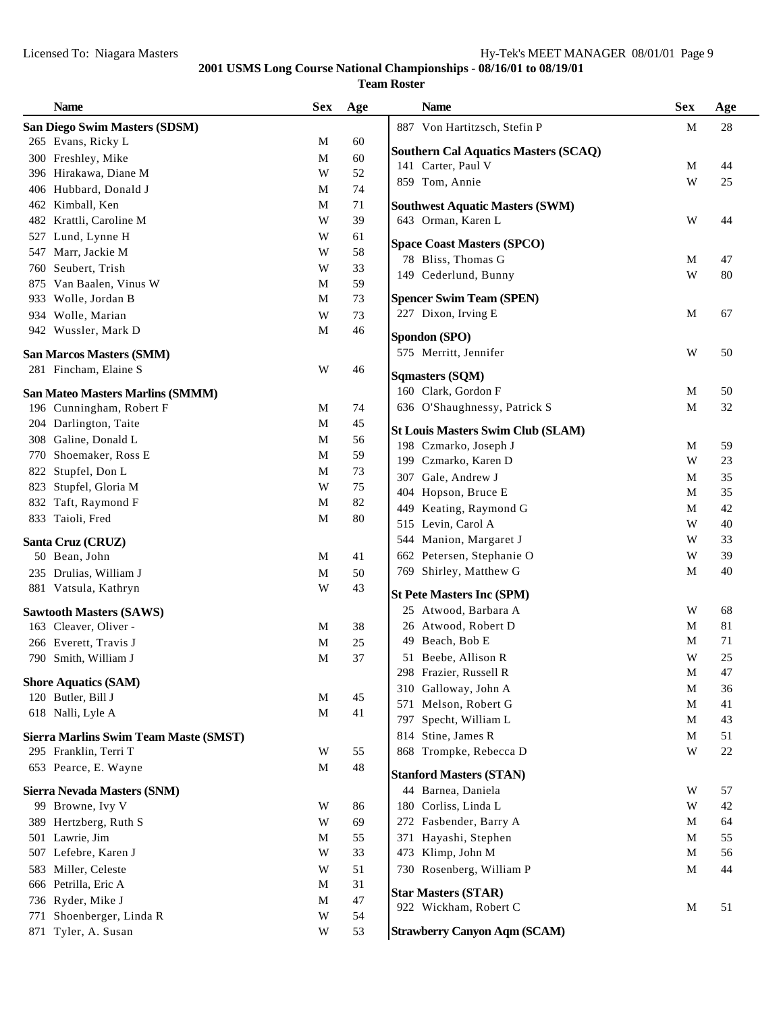| <b>Name</b>                                  | <b>Sex</b>  | Age | <b>Name</b>                                 | <b>Sex</b> | Age      |
|----------------------------------------------|-------------|-----|---------------------------------------------|------------|----------|
| San Diego Swim Masters (SDSM)                |             |     | 887 Von Hartitzsch, Stefin P                | M          | 28       |
| 265 Evans, Ricky L                           | М           | 60  |                                             |            |          |
| 300 Freshley, Mike                           | M           | 60  | <b>Southern Cal Aquatics Masters (SCAQ)</b> |            |          |
| 396 Hirakawa, Diane M                        | W           | 52  | 141 Carter, Paul V                          | M          | 44       |
| 406 Hubbard, Donald J                        | М           | 74  | 859 Tom, Annie                              | W          | 25       |
| 462 Kimball, Ken                             | M           | 71  | <b>Southwest Aquatic Masters (SWM)</b>      |            |          |
| 482 Krattli, Caroline M                      | W           | 39  | 643 Orman, Karen L                          | W          | 44       |
| 527 Lund, Lynne H                            | W           | 61  |                                             |            |          |
| 547 Marr, Jackie M                           | W           | 58  | <b>Space Coast Masters (SPCO)</b>           |            |          |
| 760 Seubert, Trish                           | W           | 33  | 78 Bliss, Thomas G<br>149 Cederlund, Bunny  | M<br>W     | 47<br>80 |
| 875 Van Baalen, Vinus W                      | M           | 59  |                                             |            |          |
| 933 Wolle, Jordan B                          | M           | 73  | <b>Spencer Swim Team (SPEN)</b>             |            |          |
| 934 Wolle, Marian                            | W           | 73  | 227 Dixon, Irving E                         | M          | 67       |
| 942 Wussler, Mark D                          | M           | 46  | Spondon (SPO)                               |            |          |
|                                              |             |     | 575 Merritt, Jennifer                       | W          | 50       |
| <b>San Marcos Masters (SMM)</b>              |             |     |                                             |            |          |
| 281 Fincham, Elaine S                        | W           | 46  | <b>Sqmasters (SQM)</b>                      |            |          |
| San Mateo Masters Marlins (SMMM)             |             |     | 160 Clark, Gordon F                         | M          | 50       |
| 196 Cunningham, Robert F                     | М           | 74  | 636 O'Shaughnessy, Patrick S                | M          | 32       |
| 204 Darlington, Taite                        | M           | 45  | <b>St Louis Masters Swim Club (SLAM)</b>    |            |          |
| 308 Galine, Donald L                         | $\mathbf M$ | 56  | 198 Czmarko, Joseph J                       | M          | 59       |
| 770 Shoemaker, Ross E                        | M           | 59  | 199 Czmarko, Karen D                        | W          | 23       |
| 822 Stupfel, Don L                           | M           | 73  | 307 Gale, Andrew J                          | M          | 35       |
| 823 Stupfel, Gloria M                        | W           | 75  | 404 Hopson, Bruce E                         | M          | 35       |
| 832 Taft, Raymond F                          | M           | 82  | 449 Keating, Raymond G                      | M          | 42       |
| 833 Taioli, Fred                             | M           | 80  | 515 Levin, Carol A                          | W          | 40       |
| Santa Cruz (CRUZ)                            |             |     | 544 Manion, Margaret J                      | W          | 33       |
| 50 Bean, John                                | M           | 41  | 662 Petersen, Stephanie O                   | W          | 39       |
| 235 Drulias, William J                       | M           | 50  | 769 Shirley, Matthew G                      | M          | 40       |
| 881 Vatsula, Kathryn                         | W           | 43  |                                             |            |          |
|                                              |             |     | <b>St Pete Masters Inc (SPM)</b>            |            |          |
| <b>Sawtooth Masters (SAWS)</b>               |             |     | 25 Atwood, Barbara A                        | W          | 68       |
| 163 Cleaver, Oliver -                        | M           | 38  | 26 Atwood, Robert D                         | M          | 81       |
| 266 Everett, Travis J                        | M           | 25  | 49 Beach, Bob E                             | M          | 71       |
| 790 Smith, William J                         | M           | 37  | 51 Beebe, Allison R                         | W          | 25       |
| <b>Shore Aquatics (SAM)</b>                  |             |     | 298 Frazier, Russell R                      | M          | 47       |
| 120 Butler, Bill J                           | M           | 45  | 310 Galloway, John A                        | M          | 36       |
| 618 Nalli, Lyle A                            | M           | 41  | 571 Melson, Robert G                        | M          | 41       |
|                                              |             |     | 797 Specht, William L                       | M          | 43       |
| <b>Sierra Marlins Swim Team Maste (SMST)</b> |             |     | 814 Stine, James R                          | M          | 51       |
| 295 Franklin, Terri T                        | W           | 55  | 868 Trompke, Rebecca D                      | W          | $22\,$   |
| 653 Pearce, E. Wayne                         | M           | 48  | <b>Stanford Masters (STAN)</b>              |            |          |
| Sierra Nevada Masters (SNM)                  |             |     | 44 Barnea, Daniela                          | W          | 57       |
| 99 Browne, Ivy V                             | W           | 86  | 180 Corliss, Linda L                        | W          | 42       |
| 389 Hertzberg, Ruth S                        | W           | 69  | 272 Fasbender, Barry A                      | M          | 64       |
| 501 Lawrie, Jim                              | М           | 55  | 371 Hayashi, Stephen                        | M          | 55       |
| 507 Lefebre, Karen J                         | W           | 33  | 473 Klimp, John M                           | M          | 56       |
| 583 Miller, Celeste                          | W           | 51  | 730 Rosenberg, William P                    | M          | 44       |
| 666 Petrilla, Eric A                         | M           | 31  |                                             |            |          |
| 736 Ryder, Mike J                            | M           | 47  | <b>Star Masters (STAR)</b>                  |            |          |
| 771 Shoenberger, Linda R                     | W           | 54  | 922 Wickham, Robert C                       | M          | 51       |
| 871 Tyler, A. Susan                          | W           | 53  | <b>Strawberry Canyon Aqm (SCAM)</b>         |            |          |
|                                              |             |     |                                             |            |          |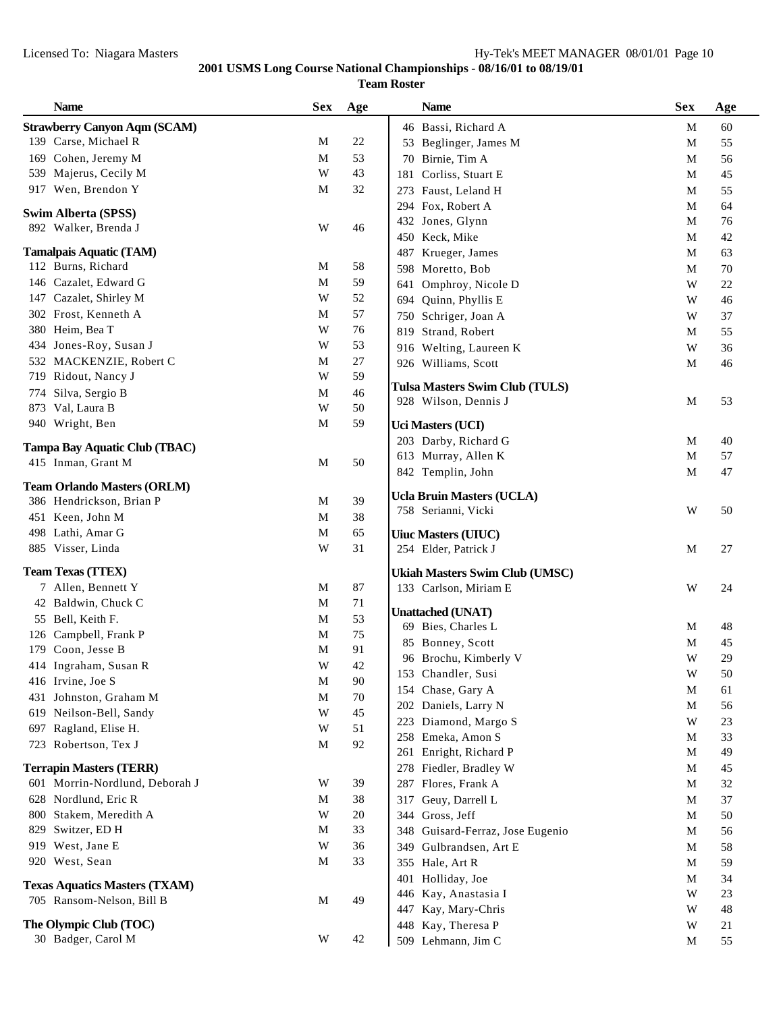|     | <b>Name</b>                                                       | <b>Sex</b>  | Age    |     | <b>Name</b>                                    | <b>Sex</b>              | Age    |
|-----|-------------------------------------------------------------------|-------------|--------|-----|------------------------------------------------|-------------------------|--------|
|     | <b>Strawberry Canyon Aqm (SCAM)</b>                               |             |        |     | 46 Bassi, Richard A                            | M                       | 60     |
|     | 139 Carse, Michael R                                              | M           | $22\,$ |     | 53 Beglinger, James M                          | M                       | 55     |
|     | 169 Cohen, Jeremy M                                               | M           | 53     | 70  | Birnie, Tim A                                  | M                       | 56     |
|     | 539 Majerus, Cecily M                                             | W           | 43     | 181 | Corliss, Stuart E                              | M                       | 45     |
|     | 917 Wen, Brendon Y                                                | M           | 32     |     | 273 Faust, Leland H                            | M                       | 55     |
|     |                                                                   |             |        |     | 294 Fox, Robert A                              | M                       | 64     |
|     | Swim Alberta (SPSS)                                               |             |        |     | 432 Jones, Glynn                               | M                       | 76     |
|     | 892 Walker, Brenda J                                              | W           | 46     |     | 450 Keck, Mike                                 | M                       | 42     |
|     | <b>Tamalpais Aquatic (TAM)</b>                                    |             |        | 487 | Krueger, James                                 | M                       | 63     |
|     | 112 Burns, Richard                                                | M           | 58     |     | 598 Moretto, Bob                               | M                       | 70     |
|     | 146 Cazalet, Edward G                                             | M           | 59     | 641 | Omphroy, Nicole D                              | W                       | 22     |
|     | 147 Cazalet, Shirley M                                            | W           | 52     |     | 694 Quinn, Phyllis E                           | W                       | 46     |
|     | 302 Frost, Kenneth A                                              | M           | 57     | 750 | Schriger, Joan A                               | W                       | 37     |
|     | 380 Heim, Bea T                                                   | W           | 76     | 819 | Strand, Robert                                 | M                       | 55     |
|     | 434 Jones-Roy, Susan J                                            | W           | 53     |     | 916 Welting, Laureen K                         | W                       | 36     |
|     | 532 MACKENZIE, Robert C                                           | M           | $27\,$ |     | 926 Williams, Scott                            | M                       | 46     |
|     | 719 Ridout, Nancy J                                               | W           | 59     |     |                                                |                         |        |
|     | 774 Silva, Sergio B                                               | $\mathbf M$ | 46     |     | Tulsa Masters Swim Club (TULS)                 |                         |        |
|     | 873 Val, Laura B                                                  | W           | 50     |     | 928 Wilson, Dennis J                           | M                       | 53     |
|     | 940 Wright, Ben                                                   | M           | 59     |     | <b>Uci Masters (UCI)</b>                       |                         |        |
|     | Tampa Bay Aquatic Club (TBAC)                                     |             |        |     | 203 Darby, Richard G                           | M                       | 40     |
|     | 415 Inman, Grant M                                                | M           | 50     |     | 613 Murray, Allen K                            | $\mathbf{M}$            | 57     |
|     |                                                                   |             |        |     | 842 Templin, John                              | M                       | 47     |
|     | <b>Team Orlando Masters (ORLM)</b>                                |             |        |     | <b>Ucla Bruin Masters (UCLA)</b>               |                         |        |
|     | 386 Hendrickson, Brian P                                          | M           | 39     |     | 758 Serianni, Vicki                            | W                       | 50     |
|     | 451 Keen, John M                                                  | $\mathbf M$ | 38     |     |                                                |                         |        |
|     | 498 Lathi, Amar G                                                 | $\mathbf M$ | 65     |     | <b>Uiuc Masters (UIUC)</b>                     |                         |        |
|     | 885 Visser, Linda                                                 | W           | 31     |     | 254 Elder, Patrick J                           | M                       | 27     |
|     | <b>Team Texas (TTEX)</b>                                          |             |        |     | <b>Ukiah Masters Swim Club (UMSC)</b>          |                         |        |
|     | 7 Allen, Bennett Y                                                | M           | 87     |     | 133 Carlson, Miriam E                          | W                       | 24     |
|     | 42 Baldwin, Chuck C                                               | M           | 71     |     |                                                |                         |        |
|     | 55 Bell, Keith F.                                                 | $\mathbf M$ | 53     |     | <b>Unattached (UNAT)</b><br>69 Bies, Charles L | M                       | 48     |
|     | 126 Campbell, Frank P                                             | M           | 75     |     | 85 Bonney, Scott                               | M                       | 45     |
|     | 179 Coon, Jesse B                                                 | M           | 91     |     | 96 Brochu, Kimberly V                          | W                       | 29     |
|     | 414 Ingraham, Susan R                                             | W           | 42     |     | 153 Chandler, Susi                             | $\ensuremath{\text{W}}$ | $50\,$ |
|     | 416 Irvine, Joe S                                                 | $\mathbf M$ | 90     |     | 154 Chase, Gary A                              | M                       | 61     |
|     | 431 Johnston, Graham M                                            | M           | 70     |     | 202 Daniels, Larry N                           | $\mathbf M$             | 56     |
| 619 | Neilson-Bell, Sandy                                               | W           | 45     |     | 223 Diamond, Margo S                           | W                       | 23     |
| 697 | Ragland, Elise H.                                                 | W           | 51     |     | 258 Emeka, Amon S                              | M                       | 33     |
|     | 723 Robertson, Tex J                                              | M           | 92     |     | 261 Enright, Richard P                         | M                       | 49     |
|     | <b>Terrapin Masters (TERR)</b>                                    |             |        |     | 278 Fiedler, Bradley W                         | M                       | 45     |
| 601 | Morrin-Nordlund, Deborah J                                        | W           | 39     | 287 | Flores, Frank A                                | M                       | 32     |
|     | 628 Nordlund, Eric R                                              | M           | 38     | 317 | Geuy, Darrell L                                | M                       | 37     |
|     | 800 Stakem, Meredith A                                            | W           | 20     |     | 344 Gross, Jeff                                | M                       | 50     |
| 829 | Switzer, ED H                                                     | M           | 33     |     | 348 Guisard-Ferraz, Jose Eugenio               | M                       | 56     |
|     | 919 West, Jane E                                                  | W           | 36     | 349 | Gulbrandsen, Art E                             | M                       | 58     |
|     | 920 West, Sean                                                    | M           | 33     |     | 355 Hale, Art R                                | M                       | 59     |
|     |                                                                   |             |        | 401 | Holliday, Joe                                  | M                       | 34     |
|     | <b>Texas Aquatics Masters (TXAM)</b><br>705 Ransom-Nelson, Bill B | M           | 49     | 446 | Kay, Anastasia I                               | W                       | 23     |
|     |                                                                   |             |        | 447 | Kay, Mary-Chris                                | W                       | 48     |
|     | The Olympic Club (TOC)                                            |             |        | 448 | Kay, Theresa P                                 | W                       | 21     |
|     | 30 Badger, Carol M                                                | W           | 42     | 509 | Lehmann, Jim C                                 | M                       | 55     |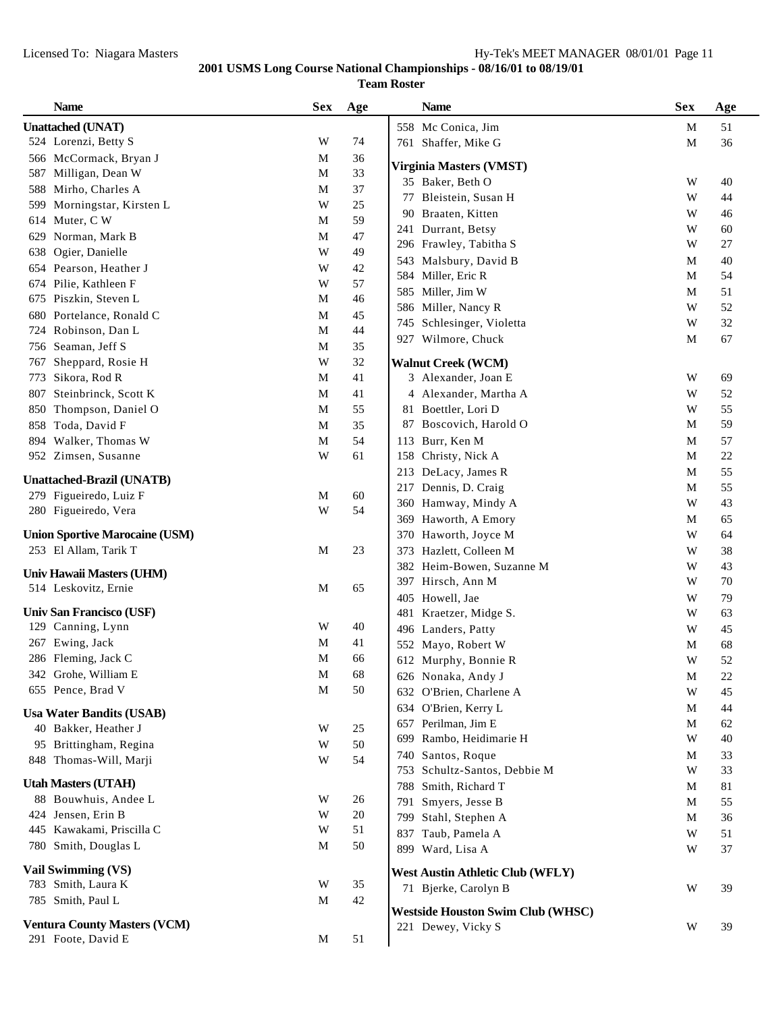|     | <b>Name</b>                           | <b>Sex</b>  | Age          | <b>Name</b>                                  | <b>Sex</b>                   | Age      |
|-----|---------------------------------------|-------------|--------------|----------------------------------------------|------------------------------|----------|
|     | <b>Unattached (UNAT)</b>              |             |              | 558 Mc Conica, Jim                           | M                            | 51       |
|     | 524 Lorenzi, Betty S                  | W           | 74           | 761 Shaffer, Mike G                          | $\mathbf M$                  | 36       |
|     | 566 McCormack, Bryan J                | M           | 36           |                                              |                              |          |
| 587 | Milligan, Dean W                      | M           | 33           | Virginia Masters (VMST)                      |                              |          |
| 588 | Mirho, Charles A                      | M           | 37           | 35 Baker, Beth O                             | W<br>W                       | 40<br>44 |
| 599 | Morningstar, Kirsten L                | W           | 25           | Bleistein, Susan H<br>77                     |                              |          |
| 614 | Muter, C W                            | M           | 59           | 90 Braaten, Kitten                           | W                            | 46       |
| 629 | Norman, Mark B                        | M           | 47           | 241 Durrant, Betsy<br>296 Frawley, Tabitha S | W<br>W                       | 60<br>27 |
| 638 | Ogier, Danielle                       | W           | 49           |                                              |                              |          |
| 654 | Pearson, Heather J                    | W           | 42           | 543 Malsbury, David B                        | $\mathbf M$<br>$\mathbf M$   | 40<br>54 |
| 674 | Pilie, Kathleen F                     | W           | 57           | 584 Miller, Eric R                           |                              |          |
| 675 | Piszkin, Steven L                     | $\mathbf M$ | 46           | 585 Miller, Jim W                            | M<br>$\ensuremath{\text{W}}$ | 51       |
| 680 | Portelance, Ronald C                  | M           | 45           | 586 Miller, Nancy R                          | W                            | 52<br>32 |
| 724 | Robinson, Dan L                       | M           | 44           | Schlesinger, Violetta<br>745                 |                              |          |
| 756 | Seaman, Jeff S                        | $\mathbf M$ | 35           | 927 Wilmore, Chuck                           | $\mathbf M$                  | 67       |
| 767 | Sheppard, Rosie H                     | W           | 32           | <b>Walnut Creek (WCM)</b>                    |                              |          |
| 773 | Sikora, Rod R                         | $\mathbf M$ | 41           | 3 Alexander, Joan E                          | W                            | 69       |
| 807 | Steinbrinck, Scott K                  | M           | 41           | 4 Alexander, Martha A                        | W                            | 52       |
| 850 | Thompson, Daniel O                    | M           | 55           | 81 Boettler, Lori D                          | W                            | 55       |
| 858 | Toda, David F                         | $\mathbf M$ | 35           | 87 Boscovich, Harold O                       | M                            | 59       |
|     | 894 Walker, Thomas W                  | $\mathbf M$ | 54           | 113 Burr, Ken M                              | $\mathbf{M}$                 | 57       |
|     | 952 Zimsen, Susanne                   | W           | 61           | 158 Christy, Nick A                          | $\mathbf M$                  | $22\,$   |
|     |                                       |             |              | 213 DeLacy, James R                          | M                            | 55       |
|     | <b>Unattached-Brazil (UNATB)</b>      |             |              | 217 Dennis, D. Craig                         | M                            | 55       |
|     | 279 Figueiredo, Luiz F                | M<br>W      | $60\,$<br>54 | 360 Hamway, Mindy A                          | W                            | 43       |
|     | 280 Figueiredo, Vera                  |             |              | 369 Haworth, A Emory                         | M                            | 65       |
|     | <b>Union Sportive Marocaine (USM)</b> |             |              | 370 Haworth, Joyce M                         | W                            | 64       |
|     | 253 El Allam, Tarik T                 | M           | 23           | 373 Hazlett, Colleen M                       | W                            | 38       |
|     | Univ Hawaii Masters (UHM)             |             |              | 382 Heim-Bowen, Suzanne M                    | W                            | 43       |
|     | 514 Leskovitz, Ernie                  | M           | 65           | 397 Hirsch, Ann M                            | W                            | 70       |
|     |                                       |             |              | 405 Howell, Jae                              | W                            | 79       |
|     | Univ San Francisco (USF)              |             |              | Kraetzer, Midge S.<br>481                    | W                            | 63       |
|     | 129 Canning, Lynn                     | W           | 40           | 496 Landers, Patty                           | W                            | 45       |
|     | 267 Ewing, Jack                       | M           | 41           | 552 Mayo, Robert W                           | $\mathbf{M}$                 | 68       |
|     | 286 Fleming, Jack C                   | $\mathbf M$ | 66           | 612 Murphy, Bonnie R                         | W                            | 52       |
|     | 342 Grohe, William E                  | $\mathbf M$ | 68           | 626 Nonaka, Andy J                           | M                            | 22       |
|     | 655 Pence, Brad V                     | $\mathbf M$ | 50           | 632 O'Brien, Charlene A                      | W                            | 45       |
|     | <b>Usa Water Bandits (USAB)</b>       |             |              | 634 O'Brien, Kerry L                         | M                            | 44       |
|     | 40 Bakker, Heather J                  | W           | 25           | 657 Perilman, Jim E                          | M                            | 62       |
|     | 95 Brittingham, Regina                | W           | 50           | 699 Rambo, Heidimarie H                      | W                            | 40       |
|     | 848 Thomas-Will, Marji                | W           | 54           | 740 Santos, Roque                            | M                            | 33       |
|     |                                       |             |              | Schultz-Santos, Debbie M<br>753              | W                            | 33       |
|     | <b>Utah Masters (UTAH)</b>            |             |              | 788 Smith, Richard T                         | M                            | 81       |
|     | 88 Bouwhuis, Andee L                  | W           | 26           | Smyers, Jesse B<br>791                       | M                            | 55       |
| 424 | Jensen, Erin B                        | W           | 20           | 799 Stahl, Stephen A                         | M                            | 36       |
|     | 445 Kawakami, Priscilla C             | W           | 51           | Taub, Pamela A<br>837                        | W                            | 51       |
|     | 780 Smith, Douglas L                  | M           | 50           | 899 Ward, Lisa A                             | W                            | 37       |
|     | Vail Swimming (VS)                    |             |              | <b>West Austin Athletic Club (WFLY)</b>      |                              |          |
|     | 783 Smith, Laura K                    | W           | 35           | 71 Bjerke, Carolyn B                         | W                            | 39       |
|     | 785 Smith, Paul L                     | M           | 42           | <b>Westside Houston Swim Club (WHSC)</b>     |                              |          |
|     | <b>Ventura County Masters (VCM)</b>   |             |              | 221 Dewey, Vicky S                           | W                            | 39       |
|     | 291 Foote, David E                    | M           | 51           |                                              |                              |          |
|     |                                       |             |              |                                              |                              |          |